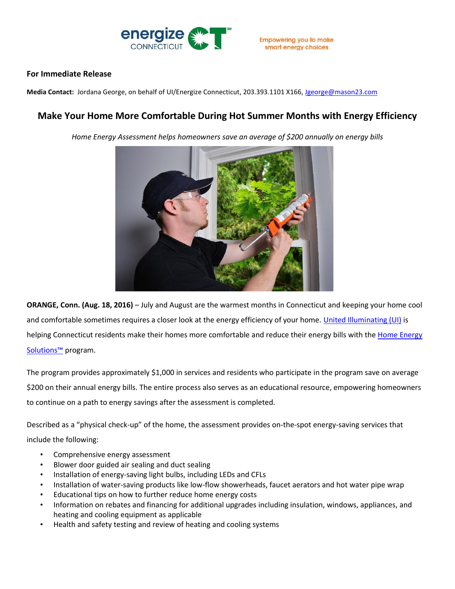

## **For Immediate Release**

**Media Contact:** Jordana George, on behalf of UI/Energize Connecticut, 203.393.1101 X166[, Jgeorge@mason23.com](mailto:Jgeorge@mason23.com)

## **Make Your Home More Comfortable During Hot Summer Months with Energy Efficiency**

*Home Energy Assessment helps homeowners save an average of \$200 annually on energy bills*



**ORANGE, Conn. (Aug. 18, 2016)** – July and August are the warmest months in Connecticut and keeping your home cool and comfortable sometimes requires a closer look at the energy efficiency of your home. [United Illuminating \(UI\)](http://www.uinet.com/?vsrefdom=public-relations&utm_campaign=hes-Copay-release&utm_medium=public-relations&utm_source=ui-media-list&utm_content=&utm_term=) is helping Connecticut residents make their homes more comfortable and reduce their energy bills with the Home Energy [Solutions](http://www.energizect.com/hes)™ program.

The program provides approximately \$1,000 in services and residents who participate in the program save on average \$200 on their annual energy bills. The entire process also serves as an educational resource, empowering homeowners to continue on a path to energy savings after the assessment is completed.

Described as a "physical check-up" of the home, the assessment provides on-the-spot energy-saving services that include the following:

- Comprehensive energy assessment
- Blower door guided air sealing and duct sealing
- Installation of energy-saving light bulbs, including LEDs and CFLs
- Installation of water-saving products like low-flow showerheads, faucet aerators and hot water pipe wrap
- Educational tips on how to further reduce home energy costs
- Information on rebates and financing for additional upgrades including insulation, windows, appliances, and heating and cooling equipment as applicable
- Health and safety testing and review of heating and cooling systems